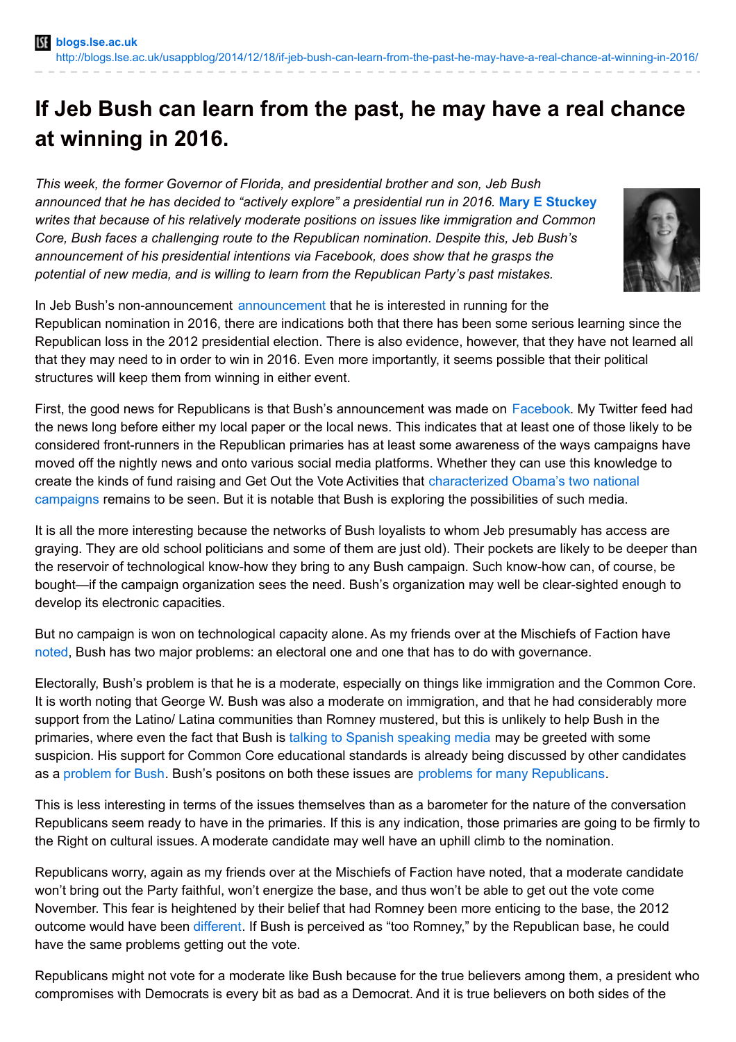## **If Jeb Bush can learn from the past, he may have a real chance at winning in 2016.**

*This week, the former Governor of Florida, and presidential brother and son, Jeb Bush announced that he has decided to "actively explore" a presidential run in 2016.* **Mary E [Stuckey](http://wp.me/p3I2YF-2VA#Author)** *writes that because of his relatively moderate positions on issues like immigration and Common Core, Bush faces a challenging route to the Republican nomination. Despite this, Jeb Bush's announcement of his presidential intentions via Facebook, does show that he grasps the potential of new media, and is willing to learn from the Republican Party's past mistakes.*



In Jeb Bush's non-announcement [announcement](http://www.cnn.com/2014/12/16/politics/bush-explore-presidential-bid/index.html?hpt=po_c1) that he is interested in running for the Republican nomination in 2016, there are indications both that there has been some serious learning since the Republican loss in the 2012 presidential election. There is also evidence, however, that they have not learned all that they may need to in order to win in 2016. Even more importantly, it seems possible that their political structures will keep them from winning in either event.

First, the good news for Republicans is that Bush's announcement was made on [Facebook](http://www.npr.org/blogs/itsallpolitics/2014/12/16/371208710/with-facebook-post-jeb-bush-takes-a-big-step-toward-2016). My Twitter feed had the news long before either my local paper or the local news. This indicates that at least one of those likely to be considered front-runners in the Republican primaries has at least some awareness of the ways campaigns have moved off the nightly news and onto various social media platforms. Whether they can use this knowledge to create the kinds of fund raising and Get Out the Vote Activities that [characterized](http://pols212-election2014.blogspot.com/2014/09/obamas-fundraising-revolution_29.html) Obama's two national campaigns remains to be seen. But it is notable that Bush is exploring the possibilities of such media.

It is all the more interesting because the networks of Bush loyalists to whom Jeb presumably has access are graying. They are old school politicians and some of them are just old). Their pockets are likely to be deeper than the reservoir of technological know-how they bring to any Bush campaign. Such know-how can, of course, be bought—if the campaign organization sees the need. Bush's organization may well be clear-sighted enough to develop its electronic capacities.

But no campaign is won on technological capacity alone. As my friends over at the Mischiefs of Faction have [noted](http://www.mischiefsoffaction.com/2014/12/conservatives-vs-jeb-bush-part-i-all.html), Bush has two major problems: an electoral one and one that has to do with governance.

Electorally, Bush's problem is that he is a moderate, especially on things like immigration and the Common Core. It is worth noting that George W. Bush was also a moderate on immigration, and that he had considerably more support from the Latino/ Latina communities than Romney mustered, but this is unlikely to help Bush in the primaries, where even the fact that Bush is talking to Spanish [speaking](http://www.breitbart.com/InstaBlog/2014/10/30/Jeb-Bush-Promises-GOP-Immigration-Reform-To-Spanish-Speaking-Media) media may be greeted with some suspicion. His support for Common Core educational standards is already being discussed by other candidates as a [problem](http://www.washingtonpost.com/blogs/post-politics/wp/2014/12/16/rand-paul-jeb-bushs-common-core-support-would-be-big-problem-in-primary/) for Bush. Bush's positons on both these issues are problems for many [Republicans](http://www.cbsnews.com/news/jeb-bush-and-the-perils-of-immigration/).

This is less interesting in terms of the issues themselves than as a barometer for the nature of the conversation Republicans seem ready to have in the primaries. If this is any indication, those primaries are going to be firmly to the Right on cultural issues. A moderate candidate may well have an uphill climb to the nomination.

Republicans worry, again as my friends over at the Mischiefs of Faction have noted, that a moderate candidate won't bring out the Party faithful, won't energize the base, and thus won't be able to get out the vote come November. This fear is heightened by their belief that had Romney been more enticing to the base, the 2012 outcome would have been [different](http://www.msnbc.com/rachel-maddow-show/jeb-bushs-mitt-romney-problem). If Bush is perceived as "too Romney," by the Republican base, he could have the same problems getting out the vote.

Republicans might not vote for a moderate like Bush because for the true believers among them, a president who compromises with Democrats is every bit as bad as a Democrat. And it is true believers on both sides of the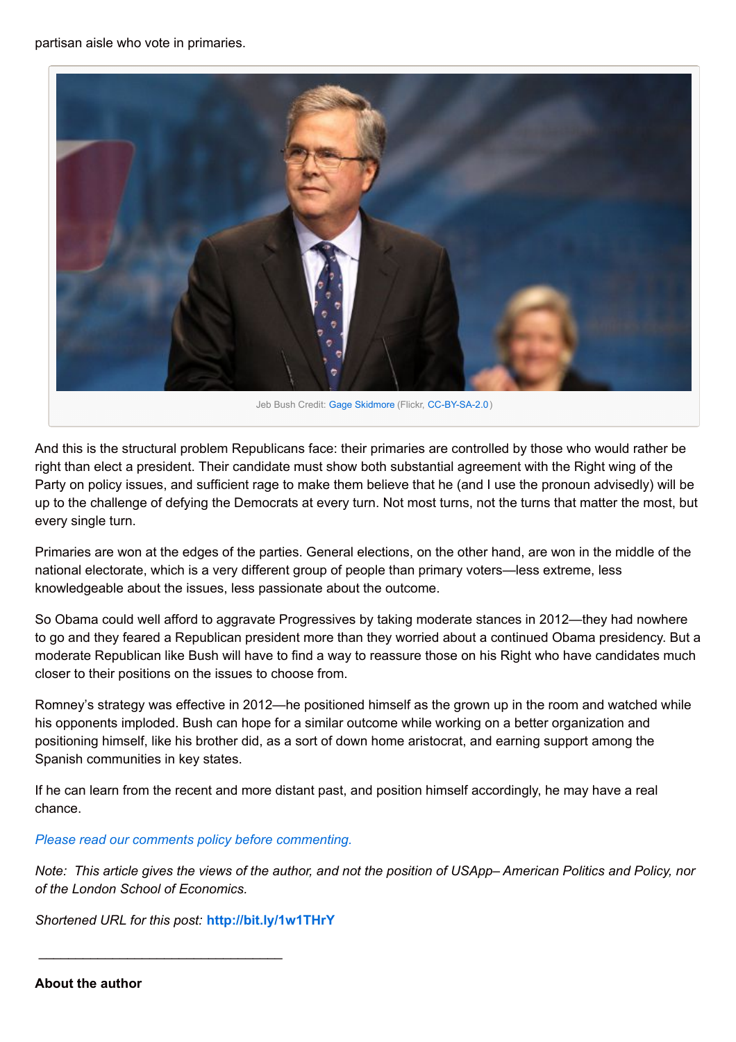partisan aisle who vote in primaries.



And this is the structural problem Republicans face: their primaries are controlled by those who would rather be right than elect a president. Their candidate must show both substantial agreement with the Right wing of the Party on policy issues, and sufficient rage to make them believe that he (and I use the pronoun advisedly) will be up to the challenge of defying the Democrats at every turn. Not most turns, not the turns that matter the most, but every single turn.

Primaries are won at the edges of the parties. General elections, on the other hand, are won in the middle of the national electorate, which is a very different group of people than primary voters—less extreme, less knowledgeable about the issues, less passionate about the outcome.

So Obama could well afford to aggravate Progressives by taking moderate stances in 2012—they had nowhere to go and they feared a Republican president more than they worried about a continued Obama presidency. But a moderate Republican like Bush will have to find a way to reassure those on his Right who have candidates much closer to their positions on the issues to choose from.

Romney's strategy was effective in 2012—he positioned himself as the grown up in the room and watched while his opponents imploded. Bush can hope for a similar outcome while working on a better organization and positioning himself, like his brother did, as a sort of down home aristocrat, and earning support among the Spanish communities in key states.

If he can learn from the recent and more distant past, and position himself accordingly, he may have a real chance.

## *Please read our comments policy before [commenting.](http://blogs.lse.ac.uk/usappblog/comments-policy/)*

Note: This article gives the views of the author, and not the position of USApp–American Politics and Policy, nor *of the London School of Economics.*

*Shortened URL for this post:* **<http://bit.ly/1w1THrY>**

\_\_\_\_\_\_\_\_\_\_\_\_\_\_\_\_\_\_\_\_\_\_\_\_\_\_\_\_\_\_\_\_\_